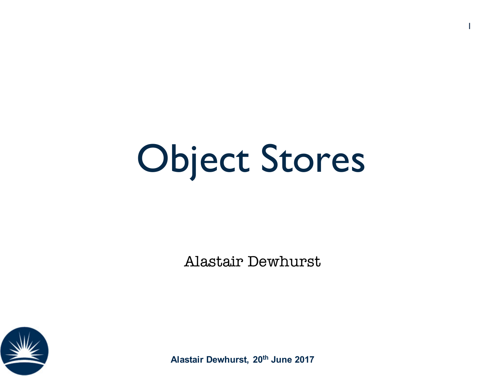#### Object Stores

1

Alastair Dewhurst



**Alastair Dewhurst, 20th June 2017**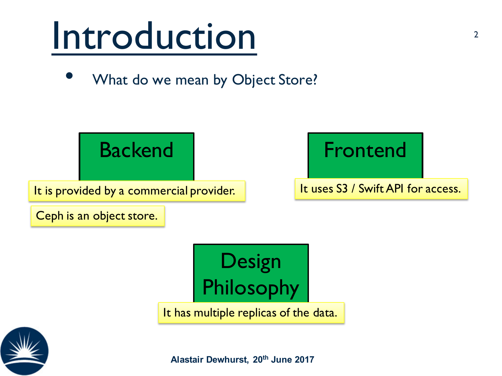#### Introduction

What do we mean by Object Store?





It has multiple replicas of the data.



**Alastair Dewhurst, 20th June 2017**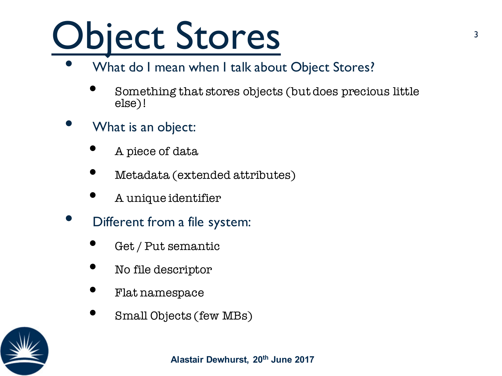## Object Stores

#### • What do I mean when I talk about Object Stores?

- Something that stores objects (but does precious little else)!
- What is an object:
	- A piece of data
	- Metadata (extended attributes)
	- A unique identifier
- Different from a file system:
	- Get / Put semantic
	- No file descriptor
	- Flat namespace
	- Small Objects (few MBs)

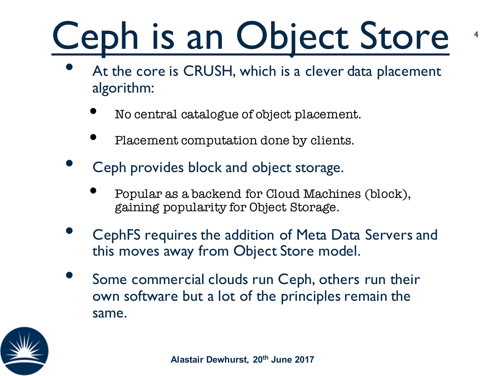# Ceph is an Object Store

4

- At the core is CRUSH, which is a clever data placement algorithm:
	- No central catalogue of object placement.
	- Placement computation done by clients.
- Ceph provides block and object storage.
	- Popular as a backend for Cloud Machines (block), gaining popularity for Object Storage.
- CephFS requires the addition of Meta Data Servers and this moves away from Object Store model.
- Some commercial clouds run Ceph, others run their own software but a lot of the principles remain the same.

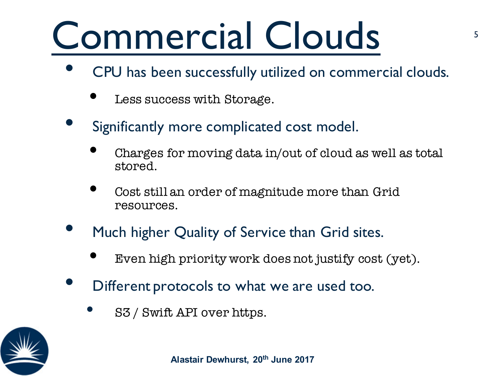#### Commercial Clouds

- CPU has been successfully utilized on commercial clouds.
	- Less success with Storage.
- Significantly more complicated cost model.
	- Charges for moving data in/out of cloud as well as total stored.
	- Cost still an order of magnitude more than Grid resources.
- Much higher Quality of Service than Grid sites.
	- Even high priority work does not justify cost (yet).
- Different protocols to what we are used too.
	- S3 / Swift API over https.

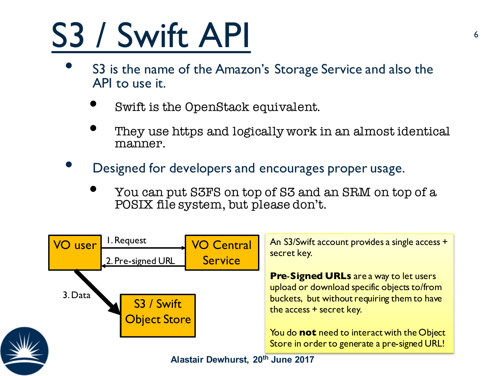#### S3 / Swift API

- S3 is the name of the Amazon's Storage Service and also the API to use it.
	- Swift is the OpenStack equivalent.
	- They use https and logically work in an almost identical manner.
- Designed for developers and encourages proper usage.
	- You can put S3FS on top of S3 and an SRM on top of a POSIX file system, but please don't.

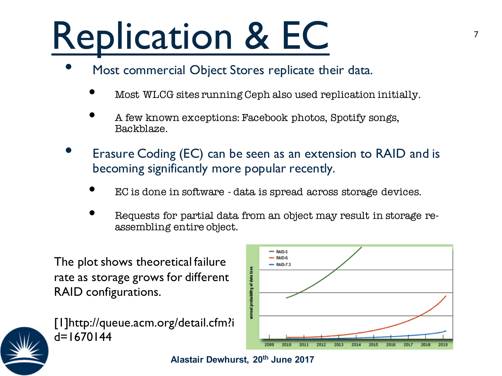## Replication & EC

- Most commercial Object Stores replicate their data.
	- Most WLCG sites running Ceph also used replication initially.
	- A few known exceptions: Facebook photos, Spotify songs, Backblaze.
- Erasure Coding (EC) can be seen as an extension to RAID and is becoming significantly more popular recently.
	- EC is done in software data is spread across storage devices.
	- Requests for partial data from an object may result in storage reassembling entire object.

The plot shows theoretical failure rate as storage grows for different RAID configurations.



[1]http://queue.acm.org/detail.cfm?i  $d=1670144$ 



**Alastair Dewhurst, 20th June 2017**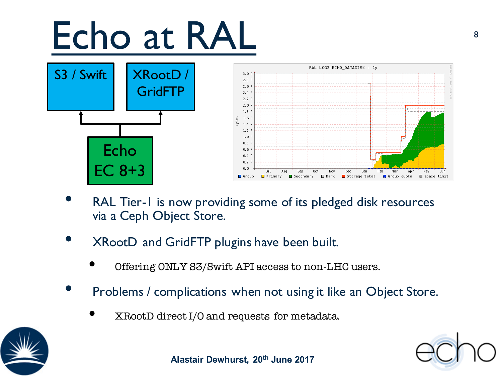#### Echo at RAL 888





- RAL Tier-1 is now providing some of its pledged disk resources via a Ceph Object Store.
- XRootD and GridFTP plugins have been built.
	- Offering ONLY S3/Swift API access to non-LHC users.
- Problems / complications when not using it like an Object Store.
	- XRootD direct I/O and requests for metadata.